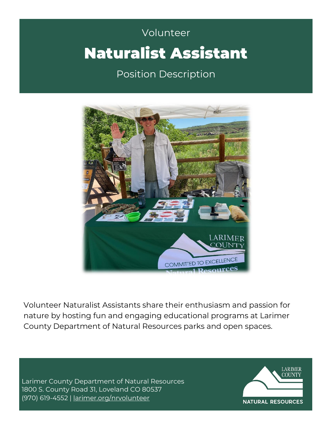# Volunteer **Campbell** Volunteer Naturalist Assistant

Position Description



Volunteer Naturalist Assistants share their enthusiasm and passion for nature by hosting fun and engaging educational programs at Larimer County Department of Natural Resources parks and open spaces.

Larimer County Department of Natural Resources 1800 S. County Road 31, Loveland CO 80537 (970) 619-4552 | [larimer.org/nrvolunteer](http://www.larimer.org/nrvolunteer)

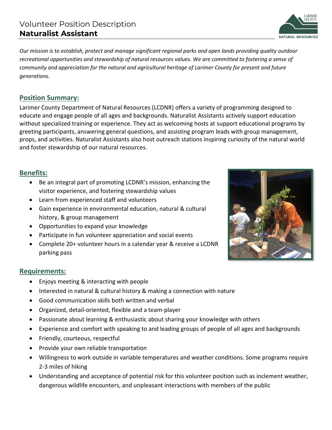ARIMEE **NATURAL RESOURCES** 

*Our mission is to establish, protect and manage significant regional parks and open lands providing quality outdoor recreational opportunities and stewardship of natural resources values. We are committed to fostering a sense of community and appreciation for the natural and agricultural heritage of Larimer County for present and future generations.* 

#### **Position Summary:**

Larimer County Department of Natural Resources (LCDNR) offers a variety of programming designed to educate and engage people of all ages and backgrounds. Naturalist Assistants actively support education without specialized training or experience. They act as welcoming hosts at support educational programs by greeting participants, answering general questions, and assisting program leads with group management, props, and activities. Naturalist Assistants also host outreach stations inspiring curiosity of the natural world and foster stewardship of our natural resources.

## **Benefits:**

- Be an integral part of promoting LCDNR's mission, enhancing the visitor experience, and fostering stewardship values
- Learn from experienced staff and volunteers
- Gain experience in environmental education, natural & cultural history, & group management
- Opportunities to expand your knowledge
- Participate in fun volunteer appreciation and social events
- Complete 20+ volunteer hours in a calendar year & receive a LCDNR parking pass

#### **Requirements:**

- Enjoys meeting & interacting with people
- Interested in natural & cultural history & making a connection with nature
- Good communication skills both written and verbal
- Organized, detail-oriented, flexible and a team-player
- Passionate about learning & enthusiastic about sharing your knowledge with others
- Experience and comfort with speaking to and leading groups of people of all ages and backgrounds
- Friendly, courteous, respectful
- Provide your own reliable transportation
- Willingness to work outside in variable temperatures and weather conditions. Some programs require 2-3 miles of hiking
- Understanding and acceptance of potential risk for this volunteer position such as inclement weather, dangerous wildlife encounters, and unpleasant interactions with members of the public

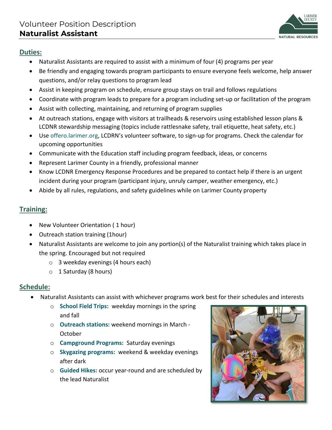

#### **Duties:**

- Naturalist Assistants are required to assist with a minimum of four (4) programs per year
- Be friendly and engaging towards program participants to ensure everyone feels welcome, help answer questions, and/or relay questions to program lead
- Assist in keeping program on schedule, ensure group stays on trail and follows regulations
- Coordinate with program leads to prepare for a program including set-up or facilitation of the program
- Assist with collecting, maintaining, and returning of program supplies
- At outreach stations, engage with visitors at trailheads & reservoirs using established lesson plans & LCDNR stewardship messaging (topics include rattlesnake safety, trail etiquette, heat safety, etc.)
- Use offero.larimer.org, LCDRN's volunteer software, to sign-up for programs. Check the calendar for upcoming opportunities
- Communicate with the Education staff including program feedback, ideas, or concerns
- Represent Larimer County in a friendly, professional manner
- Know LCDNR Emergency Response Procedures and be prepared to contact help if there is an urgent incident during your program (participant injury, unruly camper, weather emergency, etc.)
- Abide by all rules, regulations, and safety guidelines while on Larimer County property

## **Training:**

- New Volunteer Orientation ( 1 hour)
- Outreach station training (1hour)
- Naturalist Assistants are welcome to join any portion(s) of the Naturalist training which takes place in the spring. Encouraged but not required
	- o 3 weekday evenings (4 hours each)
	- $\circ$  1 Saturday (8 hours)

## **Schedule:**

- Naturalist Assistants can assist with whichever programs work best for their schedules and interests
	- o **School Field Trips:** weekday mornings in the spring and fall
	- o **Outreach stations:** weekend mornings in March October
	- o **Campground Programs:** Saturday evenings
	- o **Skygazing programs:** weekend & weekday evenings after dark
	- o **Guided Hikes:** occur year-round and are scheduled by the lead Naturalist